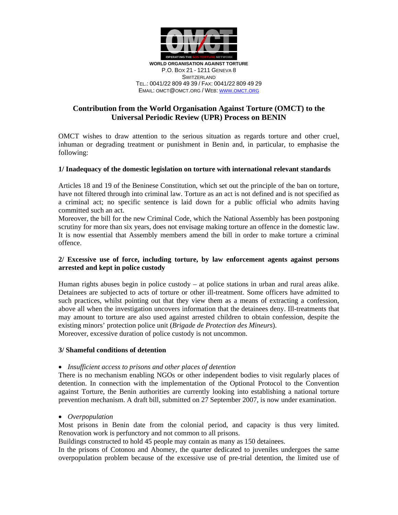

EMAIL: OMCT@OMCT.ORG / WEB: WWW.OMCT.ORG

# **Contribution from the World Organisation Against Torture (OMCT) to the Universal Periodic Review (UPR) Process on BENIN**

OMCT wishes to draw attention to the serious situation as regards torture and other cruel, inhuman or degrading treatment or punishment in Benin and, in particular, to emphasise the following:

## **1/ Inadequacy of the domestic legislation on torture with international relevant standards**

Articles 18 and 19 of the Beninese Constitution, which set out the principle of the ban on torture, have not filtered through into criminal law. Torture as an act is not defined and is not specified as a criminal act; no specific sentence is laid down for a public official who admits having committed such an act.

Moreover, the bill for the new Criminal Code, which the National Assembly has been postponing scrutiny for more than six years, does not envisage making torture an offence in the domestic law. It is now essential that Assembly members amend the bill in order to make torture a criminal offence.

# **2/ Excessive use of force, including torture, by law enforcement agents against persons arrested and kept in police custody**

Human rights abuses begin in police custody – at police stations in urban and rural areas alike. Detainees are subjected to acts of torture or other ill-treatment. Some officers have admitted to such practices, whilst pointing out that they view them as a means of extracting a confession, above all when the investigation uncovers information that the detainees deny. Ill-treatments that may amount to torture are also used against arrested children to obtain confession, despite the existing minors' protection police unit (*Brigade de Protection des Mineurs*). Moreover, excessive duration of police custody is not uncommon.

## **3/ Shameful conditions of detention**

#### • *Insufficient access to prisons and other places of detention*

There is no mechanism enabling NGOs or other independent bodies to visit regularly places of detention. In connection with the implementation of the Optional Protocol to the Convention against Torture, the Benin authorities are currently looking into establishing a national torture prevention mechanism. A draft bill, submitted on 27 September 2007, is now under examination.

#### • *Overpopulation*

Most prisons in Benin date from the colonial period, and capacity is thus very limited. Renovation work is perfunctory and not common to all prisons.

Buildings constructed to hold 45 people may contain as many as 150 detainees.

In the prisons of Cotonou and Abomey, the quarter dedicated to juveniles undergoes the same overpopulation problem because of the excessive use of pre-trial detention, the limited use of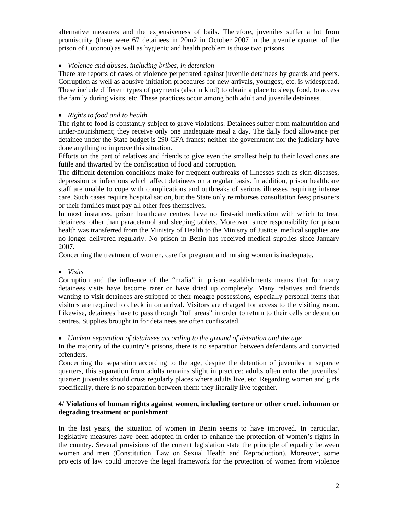alternative measures and the expensiveness of bails. Therefore, juveniles suffer a lot from promiscuity (there were 67 detainees in 20m2 in October 2007 in the juvenile quarter of the prison of Cotonou) as well as hygienic and health problem is those two prisons.

# • *Violence and abuses, including bribes, in detention*

There are reports of cases of violence perpetrated against juvenile detainees by guards and peers. Corruption as well as abusive initiation procedures for new arrivals, youngest, etc. is widespread. These include different types of payments (also in kind) to obtain a place to sleep, food, to access the family during visits, etc. These practices occur among both adult and juvenile detainees.

# • *Rights to food and to health*

The right to food is constantly subject to grave violations. Detainees suffer from malnutrition and under-nourishment; they receive only one inadequate meal a day. The daily food allowance per detainee under the State budget is 290 CFA francs; neither the government nor the judiciary have done anything to improve this situation.

Efforts on the part of relatives and friends to give even the smallest help to their loved ones are futile and thwarted by the confiscation of food and corruption.

The difficult detention conditions make for frequent outbreaks of illnesses such as skin diseases, depression or infections which affect detainees on a regular basis. In addition, prison healthcare staff are unable to cope with complications and outbreaks of serious illnesses requiring intense care. Such cases require hospitalisation, but the State only reimburses consultation fees; prisoners or their families must pay all other fees themselves.

In most instances, prison healthcare centres have no first-aid medication with which to treat detainees, other than paracetamol and sleeping tablets. Moreover, since responsibility for prison health was transferred from the Ministry of Health to the Ministry of Justice, medical supplies are no longer delivered regularly. No prison in Benin has received medical supplies since January 2007.

Concerning the treatment of women, care for pregnant and nursing women is inadequate.

• *Visits* 

Corruption and the influence of the "mafia" in prison establishments means that for many detainees visits have become rarer or have dried up completely. Many relatives and friends wanting to visit detainees are stripped of their meagre possessions, especially personal items that visitors are required to check in on arrival. Visitors are charged for access to the visiting room. Likewise, detainees have to pass through "toll areas" in order to return to their cells or detention centres. Supplies brought in for detainees are often confiscated.

• *Unclear separation of detainees according to the ground of detention and the age* 

In the majority of the country's prisons, there is no separation between defendants and convicted offenders.

Concerning the separation according to the age, despite the detention of juveniles in separate quarters, this separation from adults remains slight in practice: adults often enter the juveniles' quarter; juveniles should cross regularly places where adults live, etc. Regarding women and girls specifically, there is no separation between them: they literally live together.

# **4/ Violations of human rights against women, including torture or other cruel, inhuman or degrading treatment or punishment**

In the last years, the situation of women in Benin seems to have improved. In particular, legislative measures have been adopted in order to enhance the protection of women's rights in the country. Several provisions of the current legislation state the principle of equality between women and men (Constitution, Law on Sexual Health and Reproduction). Moreover, some projects of law could improve the legal framework for the protection of women from violence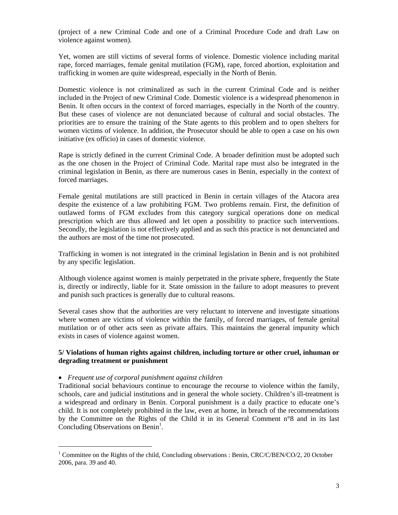(project of a new Criminal Code and one of a Criminal Procedure Code and draft Law on violence against women).

Yet, women are still victims of several forms of violence. Domestic violence including marital rape, forced marriages, female genital mutilation (FGM), rape, forced abortion, exploitation and trafficking in women are quite widespread, especially in the North of Benin.

Domestic violence is not criminalized as such in the current Criminal Code and is neither included in the Project of new Criminal Code. Domestic violence is a widespread phenomenon in Benin. It often occurs in the context of forced marriages, especially in the North of the country. But these cases of violence are not denunciated because of cultural and social obstacles. The priorities are to ensure the training of the State agents to this problem and to open shelters for women victims of violence. In addition, the Prosecutor should be able to open a case on his own initiative (ex officio) in cases of domestic violence.

Rape is strictly defined in the current Criminal Code. A broader definition must be adopted such as the one chosen in the Project of Criminal Code. Marital rape must also be integrated in the criminal legislation in Benin, as there are numerous cases in Benin, especially in the context of forced marriages.

Female genital mutilations are still practiced in Benin in certain villages of the Atacora area despite the existence of a law prohibiting FGM. Two problems remain. First, the definition of outlawed forms of FGM excludes from this category surgical operations done on medical prescription which are thus allowed and let open a possibility to practice such interventions. Secondly, the legislation is not effectively applied and as such this practice is not denunciated and the authors are most of the time not prosecuted.

Trafficking in women is not integrated in the criminal legislation in Benin and is not prohibited by any specific legislation.

Although violence against women is mainly perpetrated in the private sphere, frequently the State is, directly or indirectly, liable for it. State omission in the failure to adopt measures to prevent and punish such practices is generally due to cultural reasons.

Several cases show that the authorities are very reluctant to intervene and investigate situations where women are victims of violence within the family, of forced marriages, of female genital mutilation or of other acts seen as private affairs. This maintains the general impunity which exists in cases of violence against women.

### **5/ Violations of human rights against children, including torture or other cruel, inhuman or degrading treatment or punishment**

#### • *Frequent use of corporal punishment against children*

 $\overline{a}$ 

Traditional social behaviours continue to encourage the recourse to violence within the family, schools, care and judicial institutions and in general the whole society. Children's ill-treatment is a widespread and ordinary in Benin. Corporal punishment is a daily practice to educate one's child. It is not completely prohibited in the law, even at home, in breach of the recommendations by the Committee on the Rights of the Child it in its General Comment n°8 and in its last Concluding Observations on Benin<sup>1</sup>.

<sup>&</sup>lt;sup>1</sup> Committee on the Rights of the child, Concluding observations : Benin, CRC/C/BEN/CO/2, 20 October 2006, para. 39 and 40.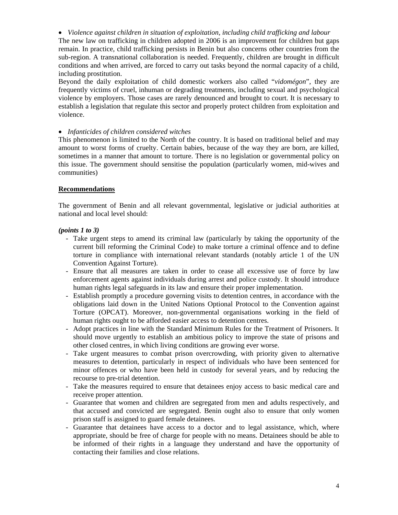• *Violence against children in situation of exploitation, including child trafficking and labour* 

The new law on trafficking in children adopted in 2006 is an improvement for children but gaps remain. In practice, child trafficking persists in Benin but also concerns other countries from the sub-region. A transnational collaboration is needed. Frequently, children are brought in difficult conditions and when arrived, are forced to carry out tasks beyond the normal capacity of a child, including prostitution.

Beyond the daily exploitation of child domestic workers also called "*vidomégon*", they are frequently victims of cruel, inhuman or degrading treatments, including sexual and psychological violence by employers. Those cases are rarely denounced and brought to court. It is necessary to establish a legislation that regulate this sector and properly protect children from exploitation and violence.

## • *Infanticides of children considered witches*

This phenomenon is limited to the North of the country. It is based on traditional belief and may amount to worst forms of cruelty. Certain babies, because of the way they are born, are killed, sometimes in a manner that amount to torture. There is no legislation or governmental policy on this issue. The government should sensitise the population (particularly women, mid-wives and communities)

## **Recommendations**

The government of Benin and all relevant governmental, legislative or judicial authorities at national and local level should:

### *(points 1 to 3)*

- Take urgent steps to amend its criminal law (particularly by taking the opportunity of the current bill reforming the Criminal Code) to make torture a criminal offence and to define torture in compliance with international relevant standards (notably article 1 of the UN Convention Against Torture).
- Ensure that all measures are taken in order to cease all excessive use of force by law enforcement agents against individuals during arrest and police custody. It should introduce human rights legal safeguards in its law and ensure their proper implementation.
- Establish promptly a procedure governing visits to detention centres, in accordance with the obligations laid down in the United Nations Optional Protocol to the Convention against Torture (OPCAT). Moreover, non-governmental organisations working in the field of human rights ought to be afforded easier access to detention centres.
- Adopt practices in line with the Standard Minimum Rules for the Treatment of Prisoners. It should move urgently to establish an ambitious policy to improve the state of prisons and other closed centres, in which living conditions are growing ever worse.
- Take urgent measures to combat prison overcrowding, with priority given to alternative measures to detention, particularly in respect of individuals who have been sentenced for minor offences or who have been held in custody for several years, and by reducing the recourse to pre-trial detention.
- Take the measures required to ensure that detainees enjoy access to basic medical care and receive proper attention.
- Guarantee that women and children are segregated from men and adults respectively, and that accused and convicted are segregated. Benin ought also to ensure that only women prison staff is assigned to guard female detainees.
- Guarantee that detainees have access to a doctor and to legal assistance, which, where appropriate, should be free of charge for people with no means. Detainees should be able to be informed of their rights in a language they understand and have the opportunity of contacting their families and close relations.